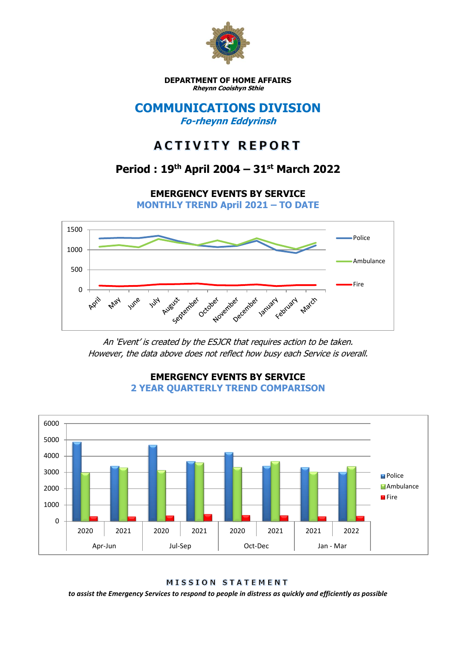

**DEPARTMENT OF HOME AFFAIRS Rheynn Cooishyn Sthie**

### **COMMUNICATIONS DIVISION Fo-rheynn Eddyrinsh**

# **ACTIVITY REPORT**

## **Period : 19th April 2004 – 31st March 2022**

**EMERGENCY EVENTS BY SERVICE MONTHLY TREND April 2021 – TO DATE**



An 'Event' is created by the ESJCR that requires action to be taken. However, the data above does not reflect how busy each Service is overall.



**EMERGENCY EVENTS BY SERVICE 2 YEAR QUARTERLY TREND COMPARISON**

**MISSION STATEMENT** 

*to assist the Emergency Services to respond to people in distress as quickly and efficiently as possible*